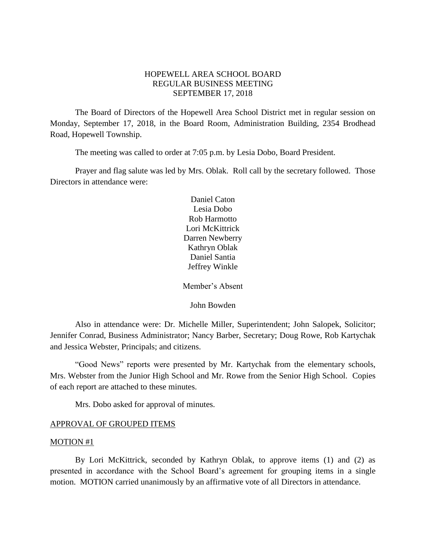## HOPEWELL AREA SCHOOL BOARD REGULAR BUSINESS MEETING SEPTEMBER 17, 2018

The Board of Directors of the Hopewell Area School District met in regular session on Monday, September 17, 2018, in the Board Room, Administration Building, 2354 Brodhead Road, Hopewell Township.

The meeting was called to order at 7:05 p.m. by Lesia Dobo, Board President.

Prayer and flag salute was led by Mrs. Oblak. Roll call by the secretary followed. Those Directors in attendance were:

> Daniel Caton Lesia Dobo Rob Harmotto Lori McKittrick Darren Newberry Kathryn Oblak Daniel Santia Jeffrey Winkle

> Member's Absent

John Bowden

Also in attendance were: Dr. Michelle Miller, Superintendent; John Salopek, Solicitor; Jennifer Conrad, Business Administrator; Nancy Barber, Secretary; Doug Rowe, Rob Kartychak and Jessica Webster, Principals; and citizens.

"Good News" reports were presented by Mr. Kartychak from the elementary schools, Mrs. Webster from the Junior High School and Mr. Rowe from the Senior High School. Copies of each report are attached to these minutes.

Mrs. Dobo asked for approval of minutes.

#### APPROVAL OF GROUPED ITEMS

#### MOTION #1

By Lori McKittrick, seconded by Kathryn Oblak, to approve items (1) and (2) as presented in accordance with the School Board's agreement for grouping items in a single motion. MOTION carried unanimously by an affirmative vote of all Directors in attendance.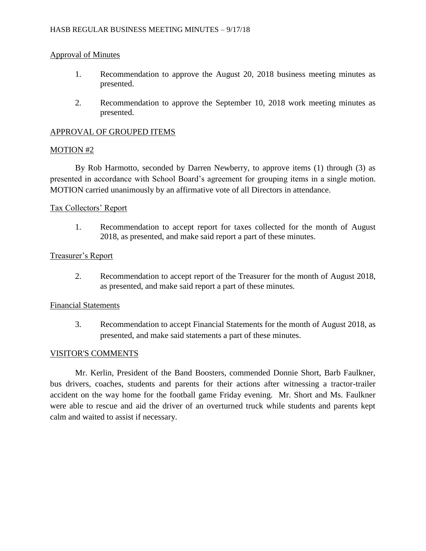## Approval of Minutes

- 1. Recommendation to approve the August 20, 2018 business meeting minutes as presented.
- 2. Recommendation to approve the September 10, 2018 work meeting minutes as presented.

## APPROVAL OF GROUPED ITEMS

### MOTION #2

By Rob Harmotto, seconded by Darren Newberry, to approve items (1) through (3) as presented in accordance with School Board's agreement for grouping items in a single motion. MOTION carried unanimously by an affirmative vote of all Directors in attendance.

### Tax Collectors' Report

1. Recommendation to accept report for taxes collected for the month of August 2018, as presented, and make said report a part of these minutes.

### Treasurer's Report

2. Recommendation to accept report of the Treasurer for the month of August 2018, as presented, and make said report a part of these minutes.

#### Financial Statements

3. Recommendation to accept Financial Statements for the month of August 2018, as presented, and make said statements a part of these minutes.

#### VISITOR'S COMMENTS

Mr. Kerlin, President of the Band Boosters, commended Donnie Short, Barb Faulkner, bus drivers, coaches, students and parents for their actions after witnessing a tractor-trailer accident on the way home for the football game Friday evening. Mr. Short and Ms. Faulkner were able to rescue and aid the driver of an overturned truck while students and parents kept calm and waited to assist if necessary.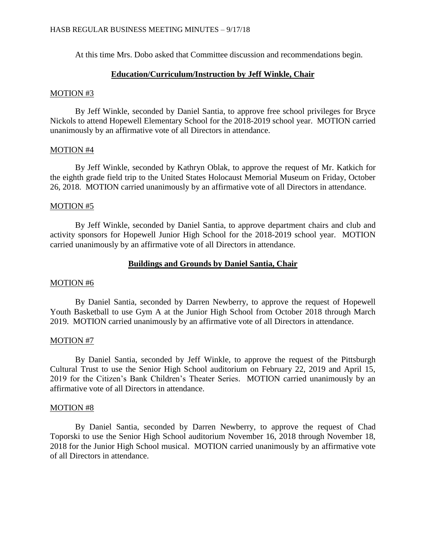At this time Mrs. Dobo asked that Committee discussion and recommendations begin.

### **Education/Curriculum/Instruction by Jeff Winkle, Chair**

#### MOTION #3

By Jeff Winkle, seconded by Daniel Santia, to approve free school privileges for Bryce Nickols to attend Hopewell Elementary School for the 2018-2019 school year. MOTION carried unanimously by an affirmative vote of all Directors in attendance.

#### MOTION #4

By Jeff Winkle, seconded by Kathryn Oblak, to approve the request of Mr. Katkich for the eighth grade field trip to the United States Holocaust Memorial Museum on Friday, October 26, 2018. MOTION carried unanimously by an affirmative vote of all Directors in attendance.

### MOTION #5

By Jeff Winkle, seconded by Daniel Santia, to approve department chairs and club and activity sponsors for Hopewell Junior High School for the 2018-2019 school year. MOTION carried unanimously by an affirmative vote of all Directors in attendance.

### **Buildings and Grounds by Daniel Santia, Chair**

#### MOTION #6

By Daniel Santia, seconded by Darren Newberry, to approve the request of Hopewell Youth Basketball to use Gym A at the Junior High School from October 2018 through March 2019. MOTION carried unanimously by an affirmative vote of all Directors in attendance.

#### MOTION #7

By Daniel Santia, seconded by Jeff Winkle, to approve the request of the Pittsburgh Cultural Trust to use the Senior High School auditorium on February 22, 2019 and April 15, 2019 for the Citizen's Bank Children's Theater Series. MOTION carried unanimously by an affirmative vote of all Directors in attendance.

#### MOTION #8

By Daniel Santia, seconded by Darren Newberry, to approve the request of Chad Toporski to use the Senior High School auditorium November 16, 2018 through November 18, 2018 for the Junior High School musical. MOTION carried unanimously by an affirmative vote of all Directors in attendance.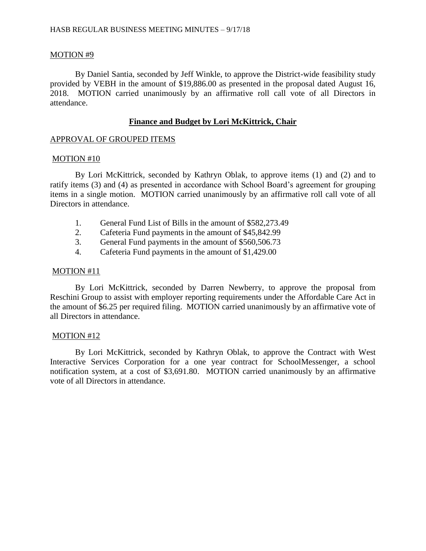## MOTION #9

By Daniel Santia, seconded by Jeff Winkle, to approve the District-wide feasibility study provided by VEBH in the amount of \$19,886.00 as presented in the proposal dated August 16, 2018. MOTION carried unanimously by an affirmative roll call vote of all Directors in attendance.

## **Finance and Budget by Lori McKittrick, Chair**

### APPROVAL OF GROUPED ITEMS

### MOTION #10

By Lori McKittrick, seconded by Kathryn Oblak, to approve items (1) and (2) and to ratify items (3) and (4) as presented in accordance with School Board's agreement for grouping items in a single motion. MOTION carried unanimously by an affirmative roll call vote of all Directors in attendance.

- 1. General Fund List of Bills in the amount of \$582,273.49
- 2. Cafeteria Fund payments in the amount of \$45,842.99
- 3. General Fund payments in the amount of \$560,506.73
- 4. Cafeteria Fund payments in the amount of \$1,429.00

### MOTION #11

By Lori McKittrick, seconded by Darren Newberry, to approve the proposal from Reschini Group to assist with employer reporting requirements under the Affordable Care Act in the amount of \$6.25 per required filing. MOTION carried unanimously by an affirmative vote of all Directors in attendance.

## MOTION #12

By Lori McKittrick, seconded by Kathryn Oblak, to approve the Contract with West Interactive Services Corporation for a one year contract for SchoolMessenger, a school notification system, at a cost of \$3,691.80. MOTION carried unanimously by an affirmative vote of all Directors in attendance.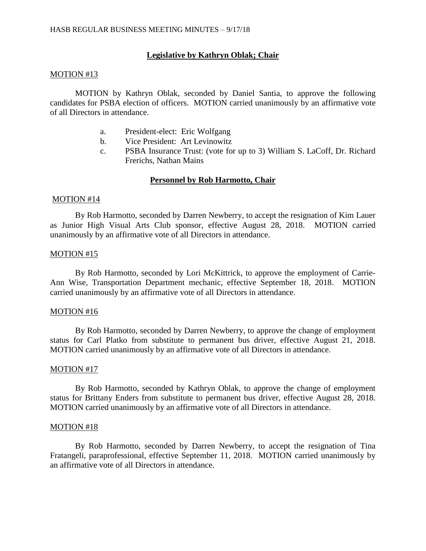## **Legislative by Kathryn Oblak; Chair**

#### MOTION #13

MOTION by Kathryn Oblak, seconded by Daniel Santia, to approve the following candidates for PSBA election of officers. MOTION carried unanimously by an affirmative vote of all Directors in attendance.

- a. President-elect: Eric Wolfgang
- b. Vice President: Art Levinowitz
- c. PSBA Insurance Trust: (vote for up to 3) William S. LaCoff, Dr. Richard Frerichs, Nathan Mains

# **Personnel by Rob Harmotto, Chair**

### MOTION #14

By Rob Harmotto, seconded by Darren Newberry, to accept the resignation of Kim Lauer as Junior High Visual Arts Club sponsor, effective August 28, 2018. MOTION carried unanimously by an affirmative vote of all Directors in attendance.

### MOTION #15

By Rob Harmotto, seconded by Lori McKittrick, to approve the employment of Carrie-Ann Wise, Transportation Department mechanic, effective September 18, 2018. MOTION carried unanimously by an affirmative vote of all Directors in attendance.

#### MOTION #16

By Rob Harmotto, seconded by Darren Newberry, to approve the change of employment status for Carl Platko from substitute to permanent bus driver, effective August 21, 2018. MOTION carried unanimously by an affirmative vote of all Directors in attendance.

#### MOTION #17

By Rob Harmotto, seconded by Kathryn Oblak, to approve the change of employment status for Brittany Enders from substitute to permanent bus driver, effective August 28, 2018. MOTION carried unanimously by an affirmative vote of all Directors in attendance.

#### MOTION #18

By Rob Harmotto, seconded by Darren Newberry, to accept the resignation of Tina Fratangeli, paraprofessional, effective September 11, 2018. MOTION carried unanimously by an affirmative vote of all Directors in attendance.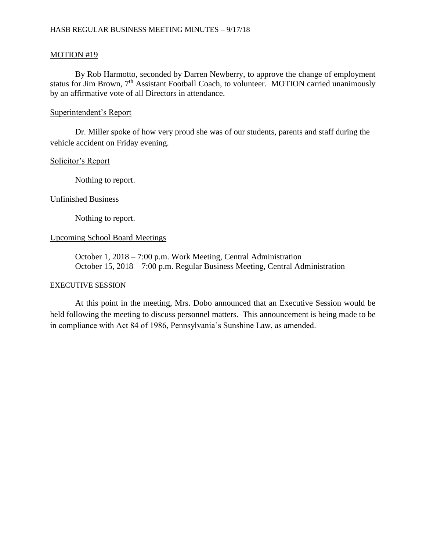## MOTION #19

By Rob Harmotto, seconded by Darren Newberry, to approve the change of employment status for Jim Brown, 7<sup>th</sup> Assistant Football Coach, to volunteer. MOTION carried unanimously by an affirmative vote of all Directors in attendance.

## Superintendent's Report

Dr. Miller spoke of how very proud she was of our students, parents and staff during the vehicle accident on Friday evening.

### Solicitor's Report

Nothing to report.

### Unfinished Business

Nothing to report.

## Upcoming School Board Meetings

October 1, 2018 – 7:00 p.m. Work Meeting, Central Administration October 15, 2018 – 7:00 p.m. Regular Business Meeting, Central Administration

#### EXECUTIVE SESSION

At this point in the meeting, Mrs. Dobo announced that an Executive Session would be held following the meeting to discuss personnel matters. This announcement is being made to be in compliance with Act 84 of 1986, Pennsylvania's Sunshine Law, as amended.